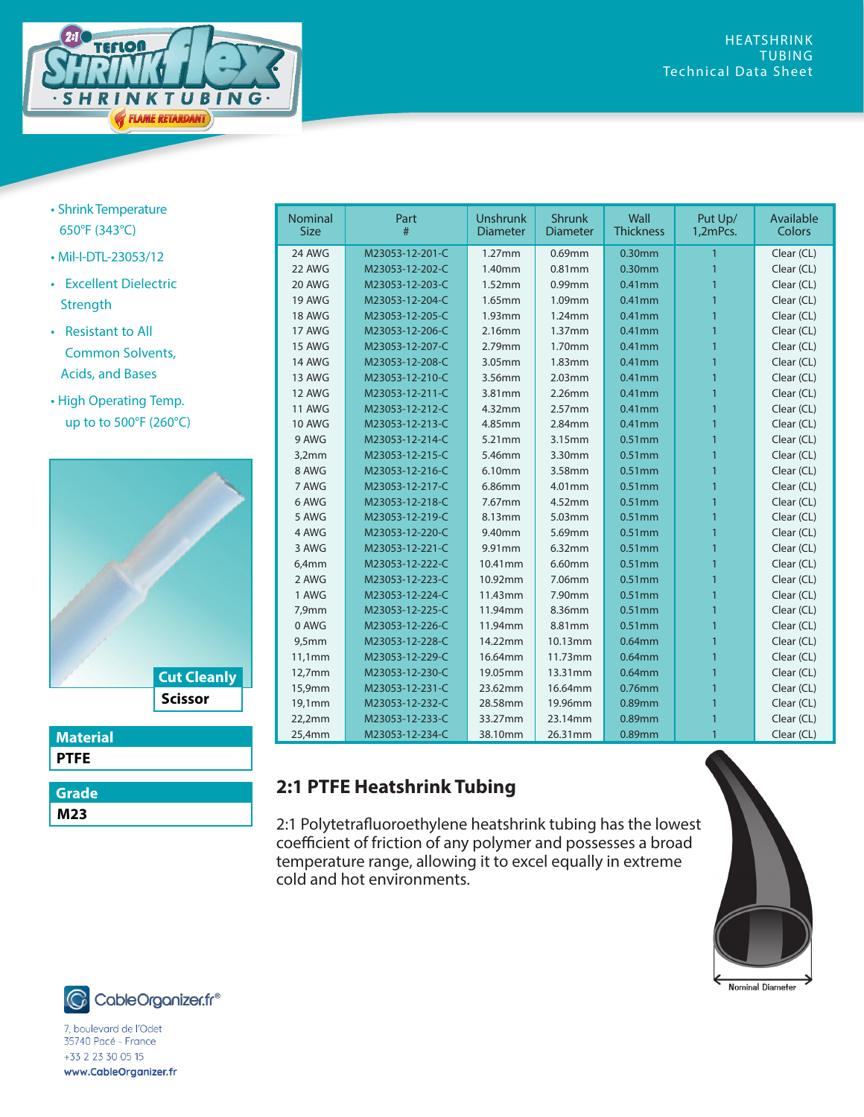

- Shrink Temperature 650°F (343°C)
- Mil-I-DTL-23053/12
- Excellent Dielectric **Strength**
- Resistant to All Common Solvents, Acids, and Bases
- High Operating Temp. up to to 500°F (260°C)



| <b>Material</b> |
|-----------------|
| <b>PTFE</b>     |
|                 |

| Grade |  |
|-------|--|
| M23   |  |

| <b>Nominal</b><br><b>Size</b> | Part<br>#       | <b>Unshrunk</b><br><b>Diameter</b> | <b>Shrunk</b><br><b>Diameter</b> | Wall<br><b>Thickness</b> | Put Up/<br>1,2mPcs. | Available<br>Colors |
|-------------------------------|-----------------|------------------------------------|----------------------------------|--------------------------|---------------------|---------------------|
| 24 AWG                        | M23053-12-201-C | $1.27$ mm                          | 0.69mm                           | $0.30$ mm                | 1                   | Clear (CL)          |
| 22 AWG                        | M23053-12-202-C | 1.40mm                             | $0.81$ mm                        | $0.30$ mm                | 1                   | Clear (CL)          |
| 20 AWG                        | M23053-12-203-C | 1.52mm                             | 0.99mm                           | $0.41$ mm                |                     | Clear (CL)          |
| <b>19 AWG</b>                 | M23053-12-204-C | 1.65mm                             | 1.09mm                           | $0.41$ mm                |                     | Clear (CL)          |
| <b>18 AWG</b>                 | M23053-12-205-C | $1.93$ mm                          | 1.24mm                           | $0.41$ mm                | 1                   | Clear (CL)          |
| 17 AWG                        | M23053-12-206-C | 2.16mm                             | 1.37mm                           | $0.41$ mm                | 1                   | Clear (CL)          |
| <b>15 AWG</b>                 | M23053-12-207-C | 2.79mm                             | 1.70mm                           | $0.41$ mm                | 1                   | Clear (CL)          |
| <b>14 AWG</b>                 | M23053-12-208-C | 3.05mm                             | 1.83mm                           | $0.41$ mm                | 1                   | Clear (CL)          |
| 13 AWG                        | M23053-12-210-C | 3.56mm                             | 2.03mm                           | $0.41$ mm                |                     | Clear (CL)          |
| 12 AWG                        | M23053-12-211-C | 3.81mm                             | 2.26mm                           | $0.41$ mm                |                     | Clear (CL)          |
| <b>11 AWG</b>                 | M23053-12-212-C | 4.32mm                             | 2.57mm                           | $0.41$ mm                | 1                   | Clear (CL)          |
| <b>10 AWG</b>                 | M23053-12-213-C | 4.85mm                             | 2.84mm                           | $0.41$ mm                | 1                   | Clear (CL)          |
| 9 AWG                         | M23053-12-214-C | 5.21mm                             | 3.15mm                           | $0.51$ mm                | 1                   | Clear (CL)          |
| 3,2mm                         | M23053-12-215-C | 5.46mm                             | 3.30mm                           | $0.51$ mm                | 1                   | Clear (CL)          |
| 8 AWG                         | M23053-12-216-C | 6.10mm                             | 3.58mm                           | $0.51$ mm                |                     | Clear (CL)          |
| 7 AWG                         | M23053-12-217-C | 6.86mm                             | 4.01mm                           | $0.51$ mm                | 1                   | Clear (CL)          |
| 6 AWG                         | M23053-12-218-C | 7.67mm                             | 4.52mm                           | $0.51$ mm                | 1                   | Clear (CL)          |
| 5 AWG                         | M23053-12-219-C | 8.13mm                             | 5.03mm                           | $0.51$ mm                | 1                   | Clear (CL)          |
| 4 AWG                         | M23053-12-220-C | 9.40mm                             | 5.69mm                           | $0.51$ mm                | 1                   | Clear (CL)          |
| 3 AWG                         | M23053-12-221-C | 9.91mm                             | 6.32mm                           | 0.51mm                   |                     | Clear (CL)          |
| 6,4mm                         | M23053-12-222-C | 10.41mm                            | 6.60mm                           | $0.51$ mm                |                     | Clear (CL)          |
| 2 AWG                         | M23053-12-223-C | 10.92mm                            | 7.06mm                           | $0.51$ mm                | 1                   | Clear (CL)          |
| 1 AWG                         | M23053-12-224-C | 11.43mm                            | 7.90mm                           | $0.51$ mm                |                     | Clear (CL)          |
| 7,9mm                         | M23053-12-225-C | 11.94mm                            | 8.36mm                           | $0.51$ mm                | 1                   | Clear (CL)          |
| 0 AWG                         | M23053-12-226-C | 11.94mm                            | 8.81mm                           | $0.51$ mm                | 1                   | Clear (CL)          |
| 9,5mm                         | M23053-12-228-C | 14.22mm                            | 10.13mm                          | $0.64$ mm                |                     | Clear (CL)          |
| 11,1mm                        | M23053-12-229-C | 16.64mm                            | 11.73mm                          | $0.64$ mm                | 1                   | Clear (CL)          |
| 12,7mm                        | M23053-12-230-C | 19.05mm                            | 13.31mm                          | $0.64$ mm                | 1                   | Clear (CL)          |
| 15,9mm                        | M23053-12-231-C | 23.62mm                            | 16.64mm                          | 0.76mm                   | 1                   | Clear (CL)          |
| 19,1mm                        | M23053-12-232-C | 28.58mm                            | 19.96mm                          | $0.89$ mm                | 1                   | Clear (CL)          |
| 22,2mm                        | M23053-12-233-C | 33.27mm                            | 23.14mm                          | 0.89mm                   |                     | Clear (CL)          |
| 25,4mm                        | M23053-12-234-C | 38.10mm                            | 26.31mm                          | 0.89mm                   | 1                   | Clear (CL)          |

## **2:1 PTFE Heatshrink Tubing**

2:1 Polytetrafluoroethylene heatshrink tubing has the lowest coefficient of friction of any polymer and possesses a broad temperature range, allowing it to excel equally in extreme cold and hot environments.





7, boulevard de l'Odet<br>35740 Pacé - France +33 2 23 30 05 15 www.CableOrganizer.fr